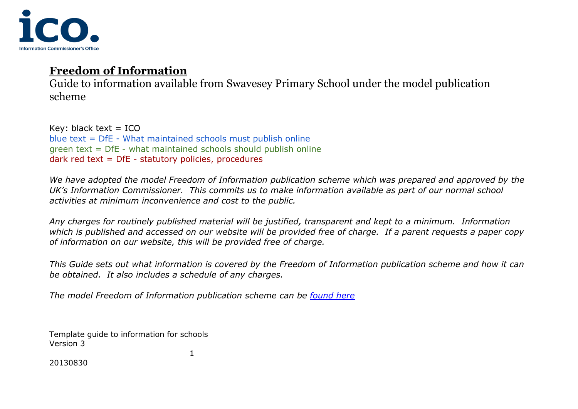

Guide to information available from Swavesey Primary School under the model publication scheme

Key: black text  $=$  ICO blue text = DfE - What maintained schools must publish online green text = DfE - what maintained schools should publish online dark red text = DfE - statutory policies, procedures

*We have adopted the model Freedom of Information publication scheme which was prepared and approved by the UK's Information Commissioner. This commits us to make information available as part of our normal school activities at minimum inconvenience and cost to the public.* 

*Any charges for routinely published material will be justified, transparent and kept to a minimum. Information which is published and accessed on our website will be provided free of charge. If a parent requests a paper copy of information on our website, this will be provided free of charge.* 

*This Guide sets out what information is covered by the Freedom of Information publication scheme and how it can be obtained. It also includes a schedule of any charges.*

*The model Freedom of Information publication scheme can be [found here](https://www.swavesey.cambs.sch.uk/attachments/download.asp?file=2054&type=pdf)*

1

Template guide to information for schools Version 3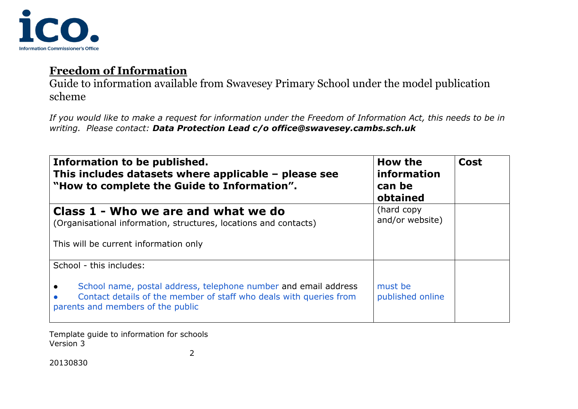

Guide to information available from Swavesey Primary School under the model publication scheme

*If you would like to make a request for information under the Freedom of Information Act, this needs to be in writing. Please contact: Data Protection Lead c/o office@swavesey.cambs.sch.uk*

| Information to be published.<br>This includes datasets where applicable $-$ please see<br>"How to complete the Guide to Information".                                                                 | How the<br>information<br>can be<br>obtained | <b>Cost</b> |
|-------------------------------------------------------------------------------------------------------------------------------------------------------------------------------------------------------|----------------------------------------------|-------------|
| Class 1 - Who we are and what we do<br>(Organisational information, structures, locations and contacts)<br>This will be current information only                                                      | (hard copy<br>and/or website)                |             |
| School - this includes:<br>School name, postal address, telephone number and email address<br>Contact details of the member of staff who deals with queries from<br>parents and members of the public | must be<br>published online                  |             |

Template guide to information for schools Version 3 2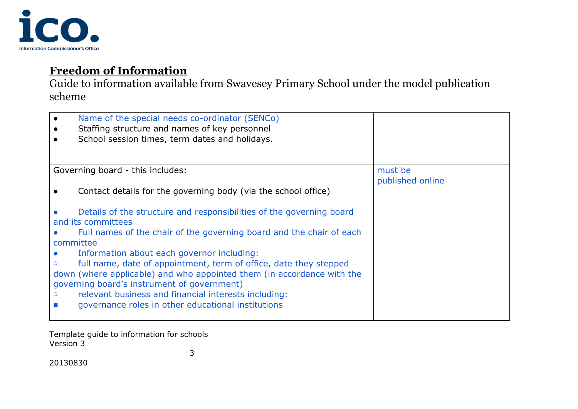

Guide to information available from Swavesey Primary School under the model publication scheme

| $\bullet$ | Name of the special needs co-ordinator (SENCo)<br>Staffing structure and names of key personnel<br>School session times, term dates and holidays.                                                                                                                                                                                                                                                                                                                                                                            |                             |  |
|-----------|------------------------------------------------------------------------------------------------------------------------------------------------------------------------------------------------------------------------------------------------------------------------------------------------------------------------------------------------------------------------------------------------------------------------------------------------------------------------------------------------------------------------------|-----------------------------|--|
|           | Governing board - this includes:<br>Contact details for the governing body (via the school office)                                                                                                                                                                                                                                                                                                                                                                                                                           | must be<br>published online |  |
| committee | Details of the structure and responsibilities of the governing board<br>and its committees<br>Full names of the chair of the governing board and the chair of each<br>Information about each governor including:<br>full name, date of appointment, term of office, date they stepped<br>down (where applicable) and who appointed them (in accordance with the<br>governing board's instrument of government)<br>relevant business and financial interests including:<br>governance roles in other educational institutions |                             |  |

Template guide to information for schools Version 3 3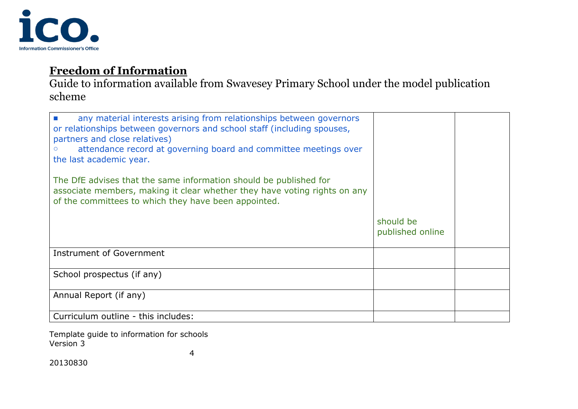

Guide to information available from Swavesey Primary School under the model publication scheme

| any material interests arising from relationships between governors<br>or relationships between governors and school staff (including spouses,<br>partners and close relatives)<br>attendance record at governing board and committee meetings over<br>the last academic year. |                               |  |
|--------------------------------------------------------------------------------------------------------------------------------------------------------------------------------------------------------------------------------------------------------------------------------|-------------------------------|--|
| The DfE advises that the same information should be published for<br>associate members, making it clear whether they have voting rights on any<br>of the committees to which they have been appointed.                                                                         |                               |  |
|                                                                                                                                                                                                                                                                                | should be<br>published online |  |
| Instrument of Government                                                                                                                                                                                                                                                       |                               |  |
| School prospectus (if any)                                                                                                                                                                                                                                                     |                               |  |
| Annual Report (if any)                                                                                                                                                                                                                                                         |                               |  |
| Curriculum outline - this includes:                                                                                                                                                                                                                                            |                               |  |

Template guide to information for schools Version 3

4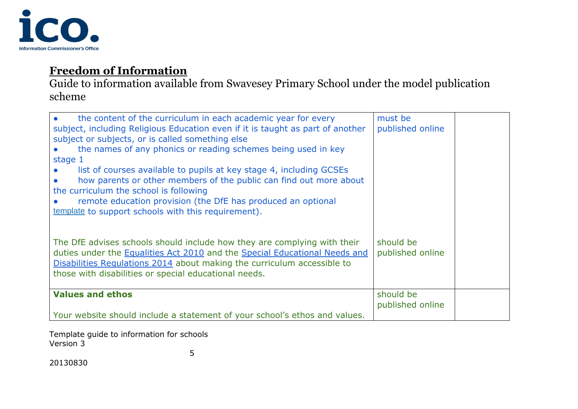

Guide to information available from Swavesey Primary School under the model publication scheme

| the content of the curriculum in each academic year for every<br>subject, including Religious Education even if it is taught as part of another                                                                                                                                                            | must be<br>published online   |  |
|------------------------------------------------------------------------------------------------------------------------------------------------------------------------------------------------------------------------------------------------------------------------------------------------------------|-------------------------------|--|
| subject or subjects, or is called something else                                                                                                                                                                                                                                                           |                               |  |
| the names of any phonics or reading schemes being used in key<br>stage 1                                                                                                                                                                                                                                   |                               |  |
| list of courses available to pupils at key stage 4, including GCSEs<br>how parents or other members of the public can find out more about<br>the curriculum the school is following<br>remote education provision (the DfE has produced an optional<br>template to support schools with this requirement). |                               |  |
| The DfE advises schools should include how they are complying with their<br>duties under the Equalities Act 2010 and the Special Educational Needs and<br>Disabilities Regulations 2014 about making the curriculum accessible to<br>those with disabilities or special educational needs.                 | should be<br>published online |  |
| <b>Values and ethos</b>                                                                                                                                                                                                                                                                                    | should be<br>published online |  |
| Your website should include a statement of your school's ethos and values.                                                                                                                                                                                                                                 |                               |  |

Template guide to information for schools Version 3 5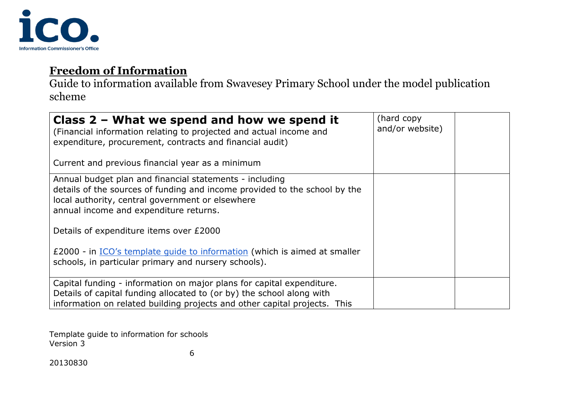

Guide to information available from Swavesey Primary School under the model publication scheme

| Class $2$ – What we spend and how we spend it<br>(Financial information relating to projected and actual income and<br>expenditure, procurement, contracts and financial audit)                                                                                                | (hard copy)<br>and/or website) |  |
|--------------------------------------------------------------------------------------------------------------------------------------------------------------------------------------------------------------------------------------------------------------------------------|--------------------------------|--|
| Current and previous financial year as a minimum                                                                                                                                                                                                                               |                                |  |
| Annual budget plan and financial statements - including<br>details of the sources of funding and income provided to the school by the<br>local authority, central government or elsewhere<br>annual income and expenditure returns.<br>Details of expenditure items over £2000 |                                |  |
| £2000 - in ICO's template quide to information (which is aimed at smaller<br>schools, in particular primary and nursery schools).                                                                                                                                              |                                |  |
| Capital funding - information on major plans for capital expenditure.<br>Details of capital funding allocated to (or by) the school along with<br>information on related building projects and other capital projects. This                                                    |                                |  |

Template guide to information for schools Version 3

6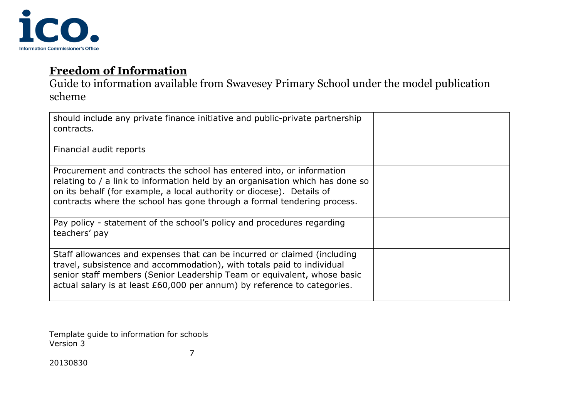

Guide to information available from Swavesey Primary School under the model publication scheme

| should include any private finance initiative and public-private partnership<br>contracts.                                                                                                                                                                                                                 |  |
|------------------------------------------------------------------------------------------------------------------------------------------------------------------------------------------------------------------------------------------------------------------------------------------------------------|--|
| Financial audit reports                                                                                                                                                                                                                                                                                    |  |
| Procurement and contracts the school has entered into, or information<br>relating to / a link to information held by an organisation which has done so<br>on its behalf (for example, a local authority or diocese). Details of<br>contracts where the school has gone through a formal tendering process. |  |
| Pay policy - statement of the school's policy and procedures regarding<br>teachers' pay                                                                                                                                                                                                                    |  |
| Staff allowances and expenses that can be incurred or claimed (including<br>travel, subsistence and accommodation), with totals paid to individual<br>senior staff members (Senior Leadership Team or equivalent, whose basic<br>actual salary is at least £60,000 per annum) by reference to categories.  |  |

Template guide to information for schools Version 3

7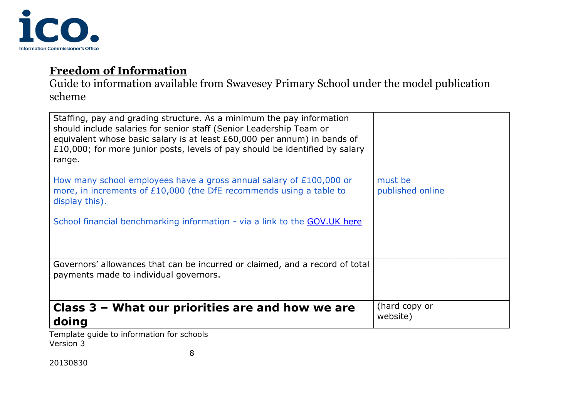

Guide to information available from Swavesey Primary School under the model publication scheme

| Class $3$ – What our priorities are and how we are<br>doing                                                                                                                                                                                                                                                        | (hard copy or<br>website)   |  |
|--------------------------------------------------------------------------------------------------------------------------------------------------------------------------------------------------------------------------------------------------------------------------------------------------------------------|-----------------------------|--|
| Governors' allowances that can be incurred or claimed, and a record of total<br>payments made to individual governors.                                                                                                                                                                                             |                             |  |
| School financial benchmarking information - via a link to the GOV.UK here                                                                                                                                                                                                                                          |                             |  |
| How many school employees have a gross annual salary of £100,000 or<br>more, in increments of £10,000 (the DfE recommends using a table to<br>display this).                                                                                                                                                       | must be<br>published online |  |
| Staffing, pay and grading structure. As a minimum the pay information<br>should include salaries for senior staff (Senior Leadership Team or<br>equivalent whose basic salary is at least £60,000 per annum) in bands of<br>£10,000; for more junior posts, levels of pay should be identified by salary<br>range. |                             |  |

Template guide to information for schools Version 3

8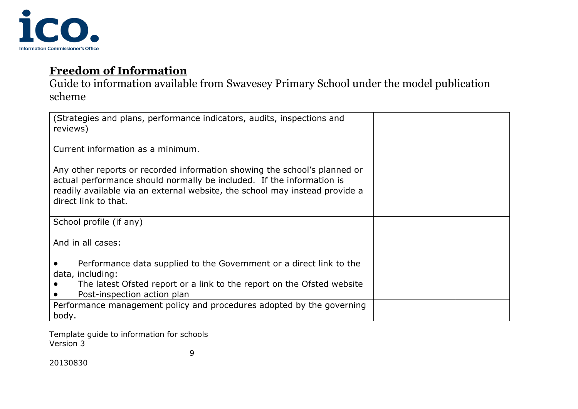

Guide to information available from Swavesey Primary School under the model publication scheme

| (Strategies and plans, performance indicators, audits, inspections and<br>reviews)                                                                                                                                                                        |  |
|-----------------------------------------------------------------------------------------------------------------------------------------------------------------------------------------------------------------------------------------------------------|--|
| Current information as a minimum.                                                                                                                                                                                                                         |  |
| Any other reports or recorded information showing the school's planned or<br>actual performance should normally be included. If the information is<br>readily available via an external website, the school may instead provide a<br>direct link to that. |  |
| School profile (if any)                                                                                                                                                                                                                                   |  |
| And in all cases:                                                                                                                                                                                                                                         |  |
| Performance data supplied to the Government or a direct link to the<br>data, including:<br>The latest Ofsted report or a link to the report on the Ofsted website<br>Post-inspection action plan                                                          |  |
| Performance management policy and procedures adopted by the governing<br>body.                                                                                                                                                                            |  |

Template guide to information for schools Version 3 9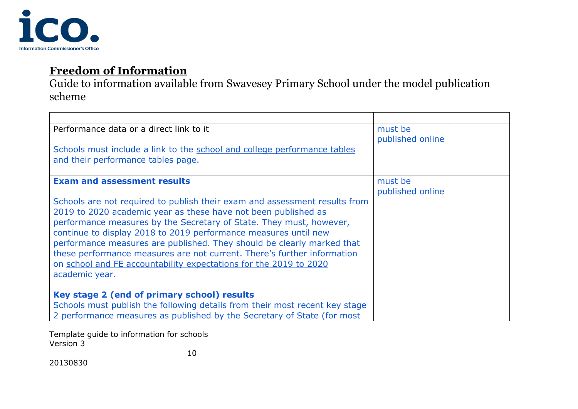

Guide to information available from Swavesey Primary School under the model publication scheme

| Performance data or a direct link to it                                     | must be<br>published online |  |
|-----------------------------------------------------------------------------|-----------------------------|--|
| Schools must include a link to the school and college performance tables    |                             |  |
| and their performance tables page.                                          |                             |  |
| <b>Exam and assessment results</b>                                          | must be                     |  |
|                                                                             | published online            |  |
| Schools are not required to publish their exam and assessment results from  |                             |  |
| 2019 to 2020 academic year as these have not been published as              |                             |  |
| performance measures by the Secretary of State. They must, however,         |                             |  |
| continue to display 2018 to 2019 performance measures until new             |                             |  |
| performance measures are published. They should be clearly marked that      |                             |  |
| these performance measures are not current. There's further information     |                             |  |
| on school and FE accountability expectations for the 2019 to 2020           |                             |  |
| academic year.                                                              |                             |  |
|                                                                             |                             |  |
| Key stage 2 (end of primary school) results                                 |                             |  |
| Schools must publish the following details from their most recent key stage |                             |  |
| 2 performance measures as published by the Secretary of State (for most     |                             |  |

Template guide to information for schools Version 3

10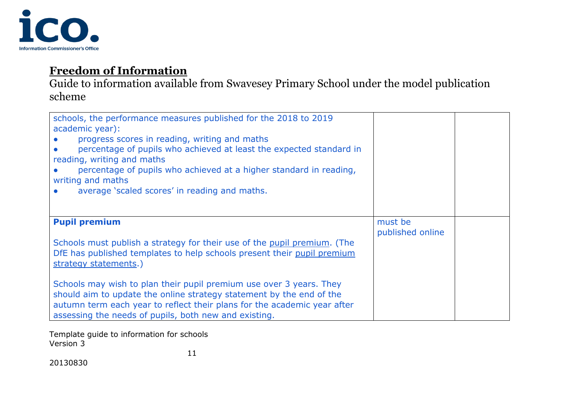

Guide to information available from Swavesey Primary School under the model publication scheme

| schools, the performance measures published for the 2018 to 2019<br>academic year):<br>progress scores in reading, writing and maths<br>percentage of pupils who achieved at least the expected standard in<br>reading, writing and maths<br>percentage of pupils who achieved at a higher standard in reading,<br>writing and maths<br>average 'scaled scores' in reading and maths.<br>$\bullet$ |                             |  |
|----------------------------------------------------------------------------------------------------------------------------------------------------------------------------------------------------------------------------------------------------------------------------------------------------------------------------------------------------------------------------------------------------|-----------------------------|--|
| <b>Pupil premium</b><br>Schools must publish a strategy for their use of the pupil premium. (The<br>DfE has published templates to help schools present their pupil premium<br>strategy statements.)<br>Schools may wish to plan their pupil premium use over 3 years. They                                                                                                                        | must be<br>published online |  |
| should aim to update the online strategy statement by the end of the<br>autumn term each year to reflect their plans for the academic year after<br>assessing the needs of pupils, both new and existing.                                                                                                                                                                                          |                             |  |

Template guide to information for schools Version 3

11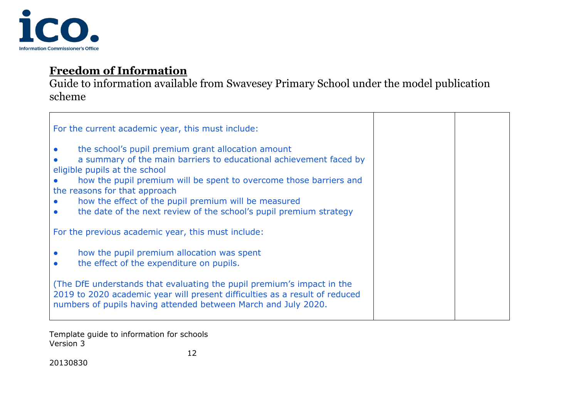

Guide to information available from Swavesey Primary School under the model publication scheme

| For the current academic year, this must include:                                                                                                                                                                                                                                                                                                                                              |  |
|------------------------------------------------------------------------------------------------------------------------------------------------------------------------------------------------------------------------------------------------------------------------------------------------------------------------------------------------------------------------------------------------|--|
| the school's pupil premium grant allocation amount<br>a summary of the main barriers to educational achievement faced by<br>eligible pupils at the school<br>how the pupil premium will be spent to overcome those barriers and<br>the reasons for that approach<br>how the effect of the pupil premium will be measured<br>the date of the next review of the school's pupil premium strategy |  |
| For the previous academic year, this must include:                                                                                                                                                                                                                                                                                                                                             |  |
| how the pupil premium allocation was spent<br>$\bullet$<br>the effect of the expenditure on pupils.<br>$\bullet$                                                                                                                                                                                                                                                                               |  |
| (The DfE understands that evaluating the pupil premium's impact in the<br>2019 to 2020 academic year will present difficulties as a result of reduced<br>numbers of pupils having attended between March and July 2020.                                                                                                                                                                        |  |

Template guide to information for schools Version 3

12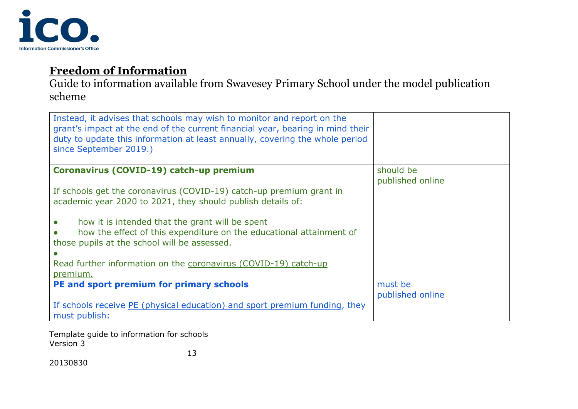

Guide to information available from Swavesey Primary School under the model publication scheme

| Instead, it advises that schools may wish to monitor and report on the<br>grant's impact at the end of the current financial year, bearing in mind their<br>duty to update this information at least annually, covering the whole period<br>since September 2019.) |                               |  |
|--------------------------------------------------------------------------------------------------------------------------------------------------------------------------------------------------------------------------------------------------------------------|-------------------------------|--|
| Coronavirus (COVID-19) catch-up premium                                                                                                                                                                                                                            | should be<br>published online |  |
| If schools get the coronavirus (COVID-19) catch-up premium grant in                                                                                                                                                                                                |                               |  |
| academic year 2020 to 2021, they should publish details of:                                                                                                                                                                                                        |                               |  |
|                                                                                                                                                                                                                                                                    |                               |  |
| how it is intended that the grant will be spent<br>how the effect of this expenditure on the educational attainment of<br>those pupils at the school will be assessed.                                                                                             |                               |  |
| Read further information on the coronavirus (COVID-19) catch-up                                                                                                                                                                                                    |                               |  |
| premium.                                                                                                                                                                                                                                                           |                               |  |
| PE and sport premium for primary schools                                                                                                                                                                                                                           | must be<br>published online   |  |
| If schools receive <b>PE</b> (physical education) and sport premium funding, they<br>must publish:                                                                                                                                                                 |                               |  |

Template guide to information for schools Version 3 13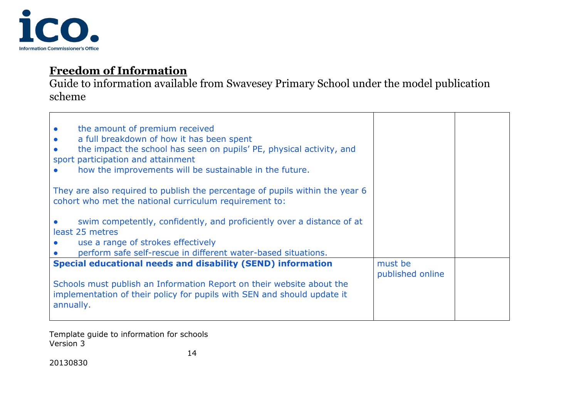

Guide to information available from Swavesey Primary School under the model publication scheme

| the amount of premium received<br>$\bullet$<br>a full breakdown of how it has been spent<br>$\bullet$<br>the impact the school has seen on pupils' PE, physical activity, and<br>sport participation and attainment<br>how the improvements will be sustainable in the future. |                             |  |
|--------------------------------------------------------------------------------------------------------------------------------------------------------------------------------------------------------------------------------------------------------------------------------|-----------------------------|--|
| They are also required to publish the percentage of pupils within the year 6<br>cohort who met the national curriculum requirement to:                                                                                                                                         |                             |  |
| swim competently, confidently, and proficiently over a distance of at<br>least 25 metres<br>use a range of strokes effectively<br>perform safe self-rescue in different water-based situations.                                                                                |                             |  |
| <b>Special educational needs and disability (SEND) information</b>                                                                                                                                                                                                             | must be<br>published online |  |
| Schools must publish an Information Report on their website about the<br>implementation of their policy for pupils with SEN and should update it<br>annually.                                                                                                                  |                             |  |

Template guide to information for schools Version 3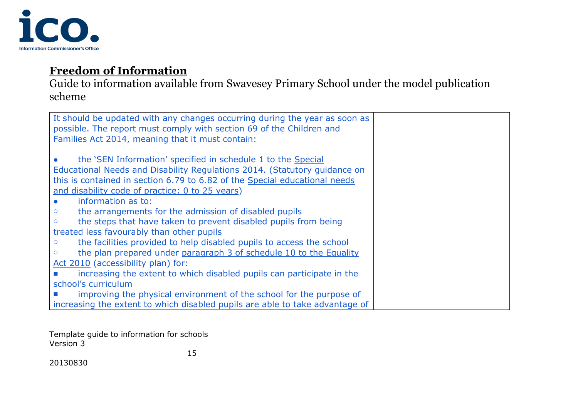

Guide to information available from Swavesey Primary School under the model publication scheme

| It should be updated with any changes occurring during the year as soon as<br>possible. The report must comply with section 69 of the Children and<br>Families Act 2014, meaning that it must contain: |  |
|--------------------------------------------------------------------------------------------------------------------------------------------------------------------------------------------------------|--|
| the 'SEN Information' specified in schedule 1 to the Special                                                                                                                                           |  |
| Educational Needs and Disability Regulations 2014. (Statutory guidance on                                                                                                                              |  |
| this is contained in section 6.79 to 6.82 of the Special educational needs                                                                                                                             |  |
| and disability code of practice: 0 to 25 years)                                                                                                                                                        |  |
| information as to:                                                                                                                                                                                     |  |
| the arrangements for the admission of disabled pupils                                                                                                                                                  |  |
| the steps that have taken to prevent disabled pupils from being<br>$\circ$                                                                                                                             |  |
| treated less favourably than other pupils                                                                                                                                                              |  |
| the facilities provided to help disabled pupils to access the school<br>$\circ$                                                                                                                        |  |
| the plan prepared under paragraph 3 of schedule 10 to the Equality                                                                                                                                     |  |
| Act 2010 (accessibility plan) for:                                                                                                                                                                     |  |
| increasing the extent to which disabled pupils can participate in the                                                                                                                                  |  |
| school's curriculum                                                                                                                                                                                    |  |
| improving the physical environment of the school for the purpose of                                                                                                                                    |  |
| increasing the extent to which disabled pupils are able to take advantage of                                                                                                                           |  |

Template guide to information for schools Version 3

15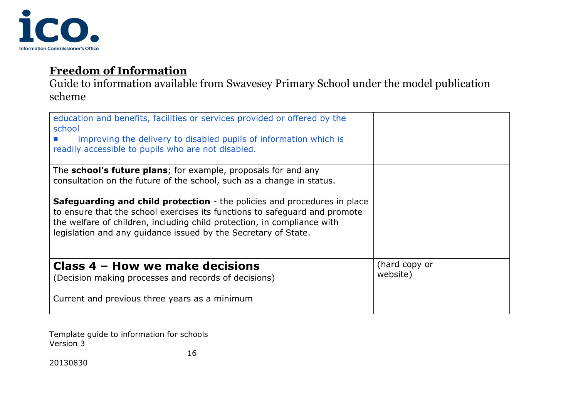

Guide to information available from Swavesey Primary School under the model publication scheme

| education and benefits, facilities or services provided or offered by the<br>school<br>improving the delivery to disabled pupils of information which is<br>readily accessible to pupils who are not disabled.                                                                                             |                           |  |
|------------------------------------------------------------------------------------------------------------------------------------------------------------------------------------------------------------------------------------------------------------------------------------------------------------|---------------------------|--|
| The school's future plans; for example, proposals for and any<br>consultation on the future of the school, such as a change in status.                                                                                                                                                                     |                           |  |
| <b>Safeguarding and child protection</b> - the policies and procedures in place<br>to ensure that the school exercises its functions to safeguard and promote<br>the welfare of children, including child protection, in compliance with<br>legislation and any guidance issued by the Secretary of State. |                           |  |
| Class 4 – How we make decisions<br>(Decision making processes and records of decisions)                                                                                                                                                                                                                    | (hard copy or<br>website) |  |
| Current and previous three years as a minimum                                                                                                                                                                                                                                                              |                           |  |

Template guide to information for schools Version 3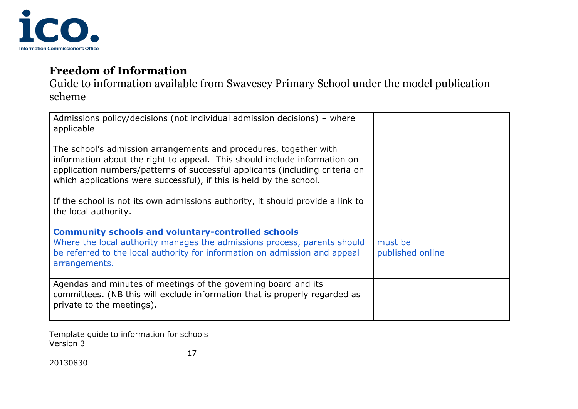

Guide to information available from Swavesey Primary School under the model publication scheme

| Admissions policy/decisions (not individual admission decisions) – where<br>applicable                                                                                                                                                                                                                |                             |  |
|-------------------------------------------------------------------------------------------------------------------------------------------------------------------------------------------------------------------------------------------------------------------------------------------------------|-----------------------------|--|
| The school's admission arrangements and procedures, together with<br>information about the right to appeal. This should include information on<br>application numbers/patterns of successful applicants (including criteria on<br>which applications were successful), if this is held by the school. |                             |  |
| If the school is not its own admissions authority, it should provide a link to<br>the local authority.                                                                                                                                                                                                |                             |  |
| <b>Community schools and voluntary-controlled schools</b><br>Where the local authority manages the admissions process, parents should<br>be referred to the local authority for information on admission and appeal<br>arrangements.                                                                  | must be<br>published online |  |
| Agendas and minutes of meetings of the governing board and its<br>committees. (NB this will exclude information that is properly regarded as<br>private to the meetings).                                                                                                                             |                             |  |

Template guide to information for schools Version 3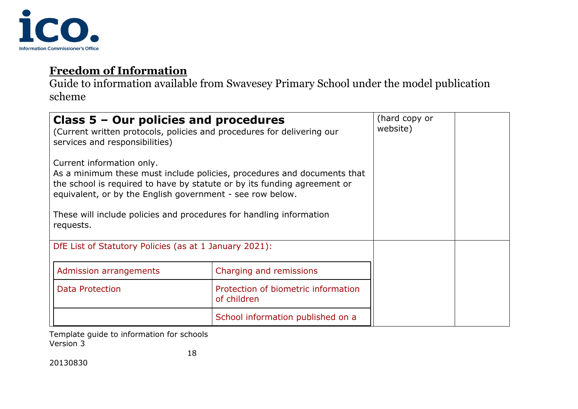

Guide to information available from Swavesey Primary School under the model publication scheme

| Class $5 -$ Our policies and procedures<br>(Current written protocols, policies and procedures for delivering our<br>services and responsibilities)                                                                                                                                                                               |                                                    | (hard copy or<br>website) |  |
|-----------------------------------------------------------------------------------------------------------------------------------------------------------------------------------------------------------------------------------------------------------------------------------------------------------------------------------|----------------------------------------------------|---------------------------|--|
| Current information only.<br>As a minimum these must include policies, procedures and documents that<br>the school is required to have by statute or by its funding agreement or<br>equivalent, or by the English government - see row below.<br>These will include policies and procedures for handling information<br>requests. |                                                    |                           |  |
| DfE List of Statutory Policies (as at 1 January 2021):                                                                                                                                                                                                                                                                            |                                                    |                           |  |
| Admission arrangements                                                                                                                                                                                                                                                                                                            | Charging and remissions                            |                           |  |
| Data Protection                                                                                                                                                                                                                                                                                                                   | Protection of biometric information<br>of children |                           |  |
|                                                                                                                                                                                                                                                                                                                                   | School information published on a                  |                           |  |

Template guide to information for schools Version 3 18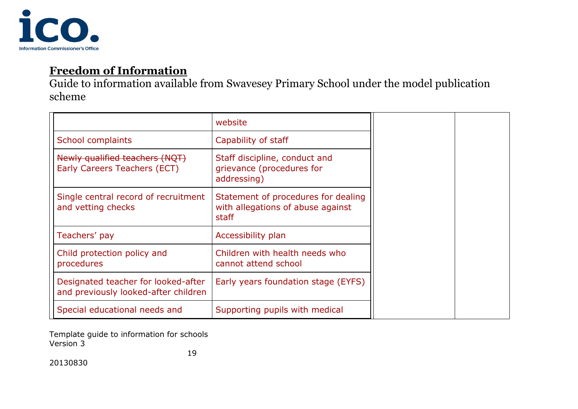

Guide to information available from Swavesey Primary School under the model publication scheme

|                                                                             | website                                                                           |
|-----------------------------------------------------------------------------|-----------------------------------------------------------------------------------|
| School complaints                                                           | Capability of staff                                                               |
| Newly qualified teachers (NQT)<br>Early Careers Teachers (ECT)              | Staff discipline, conduct and<br>grievance (procedures for<br>addressing)         |
| Single central record of recruitment<br>and vetting checks                  | Statement of procedures for dealing<br>with allegations of abuse against<br>staff |
| Teachers' pay                                                               | Accessibility plan                                                                |
| Child protection policy and<br>procedures                                   | Children with health needs who<br>cannot attend school                            |
| Designated teacher for looked-after<br>and previously looked-after children | Early years foundation stage (EYFS)                                               |
| Special educational needs and                                               | Supporting pupils with medical                                                    |

Template guide to information for schools Version 3

19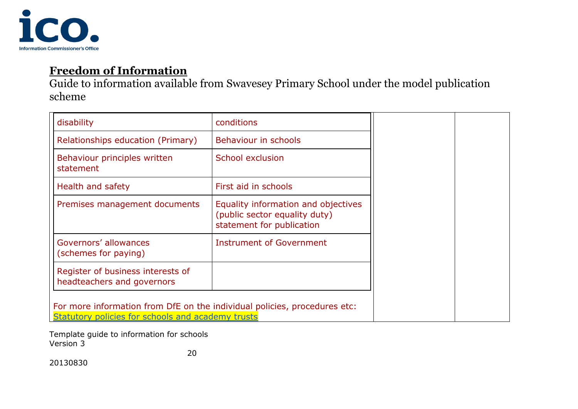

Guide to information available from Swavesey Primary School under the model publication scheme

| disability                                                                                                                     | conditions                                                                                        |  |
|--------------------------------------------------------------------------------------------------------------------------------|---------------------------------------------------------------------------------------------------|--|
| Relationships education (Primary)                                                                                              | Behaviour in schools                                                                              |  |
| Behaviour principles written<br>statement                                                                                      | School exclusion                                                                                  |  |
| Health and safety                                                                                                              | First aid in schools                                                                              |  |
| Premises management documents                                                                                                  | Equality information and objectives<br>(public sector equality duty)<br>statement for publication |  |
| Governors' allowances<br>(schemes for paying)                                                                                  | Instrument of Government                                                                          |  |
| Register of business interests of<br>headteachers and governors                                                                |                                                                                                   |  |
| For more information from DfE on the individual policies, procedures etc:<br>Statutory policies for schools and academy trusts |                                                                                                   |  |

Template guide to information for schools Version 3

20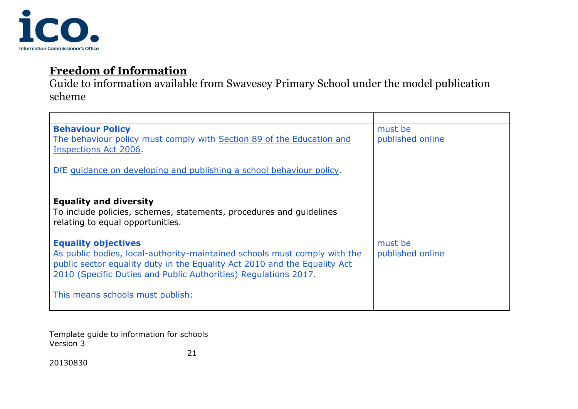

Guide to information available from Swavesey Primary School under the model publication scheme

| <b>Behaviour Policy</b><br>The behaviour policy must comply with Section 89 of the Education and<br>Inspections Act 2006.                                                                                                                               | must be<br>published online |  |
|---------------------------------------------------------------------------------------------------------------------------------------------------------------------------------------------------------------------------------------------------------|-----------------------------|--|
| DfE guidance on developing and publishing a school behaviour policy.                                                                                                                                                                                    |                             |  |
| <b>Equality and diversity</b><br>To include policies, schemes, statements, procedures and guidelines<br>relating to equal opportunities.                                                                                                                |                             |  |
| <b>Equality objectives</b><br>As public bodies, local-authority-maintained schools must comply with the<br>public sector equality duty in the Equality Act 2010 and the Equality Act<br>2010 (Specific Duties and Public Authorities) Regulations 2017. | must be<br>published online |  |
| This means schools must publish:                                                                                                                                                                                                                        |                             |  |

Template guide to information for schools Version 3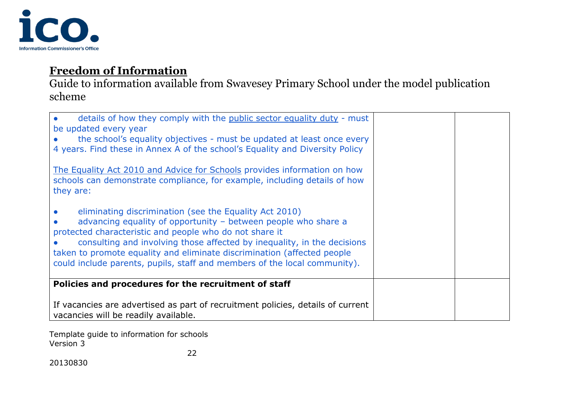

Guide to information available from Swavesey Primary School under the model publication scheme

| details of how they comply with the public sector equality duty - must<br>be updated every year<br>the school's equality objectives - must be updated at least once every<br>4 years. Find these in Annex A of the school's Equality and Diversity Policy<br>The Equality Act 2010 and Advice for Schools provides information on how<br>schools can demonstrate compliance, for example, including details of how<br>they are: |  |
|---------------------------------------------------------------------------------------------------------------------------------------------------------------------------------------------------------------------------------------------------------------------------------------------------------------------------------------------------------------------------------------------------------------------------------|--|
| eliminating discrimination (see the Equality Act 2010)<br>advancing equality of opportunity - between people who share a<br>protected characteristic and people who do not share it<br>consulting and involving those affected by inequality, in the decisions<br>taken to promote equality and eliminate discrimination (affected people<br>could include parents, pupils, staff and members of the local community).          |  |
| Policies and procedures for the recruitment of staff                                                                                                                                                                                                                                                                                                                                                                            |  |
| If vacancies are advertised as part of recruitment policies, details of current<br>vacancies will be readily available.                                                                                                                                                                                                                                                                                                         |  |

Template guide to information for schools Version 3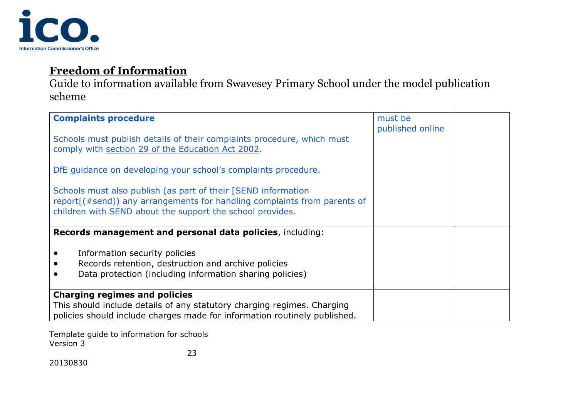

Guide to information available from Swavesey Primary School under the model publication scheme

| <b>Complaints procedure</b><br>Schools must publish details of their complaints procedure, which must<br>comply with section 29 of the Education Act 2002.<br>DfE guidance on developing your school's complaints procedure.<br>Schools must also publish (as part of their [SEND information<br>report[(#send)) any arrangements for handling complaints from parents of<br>children with SEND about the support the school provides. | must be<br>published online |  |
|----------------------------------------------------------------------------------------------------------------------------------------------------------------------------------------------------------------------------------------------------------------------------------------------------------------------------------------------------------------------------------------------------------------------------------------|-----------------------------|--|
| Records management and personal data policies, including:<br>Information security policies<br>Records retention, destruction and archive policies<br>Data protection (including information sharing policies)<br><b>Charging regimes and policies</b><br>This should include details of any statutory charging regimes. Charging<br>policies should include charges made for information routinely published.                          |                             |  |

Template guide to information for schools Version 3 23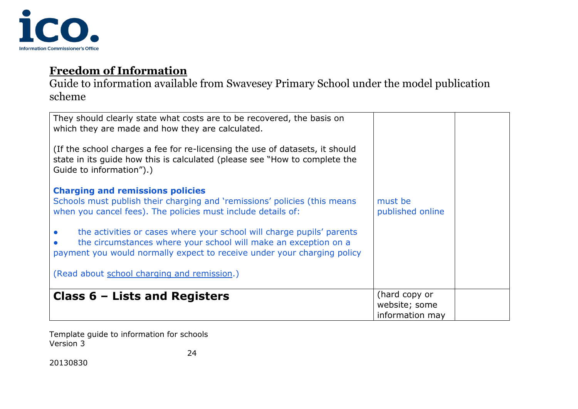

Guide to information available from Swavesey Primary School under the model publication scheme

| They should clearly state what costs are to be recovered, the basis on<br>which they are made and how they are calculated.<br>(If the school charges a fee for re-licensing the use of datasets, it should<br>state in its guide how this is calculated (please see "How to complete the<br>Guide to information").)<br><b>Charging and remissions policies</b><br>Schools must publish their charging and 'remissions' policies (this means<br>when you cancel fees). The policies must include details of:<br>the activities or cases where your school will charge pupils' parents<br>the circumstances where your school will make an exception on a<br>payment you would normally expect to receive under your charging policy<br>(Read about school charging and remission.) | must be<br>published online                       |  |
|------------------------------------------------------------------------------------------------------------------------------------------------------------------------------------------------------------------------------------------------------------------------------------------------------------------------------------------------------------------------------------------------------------------------------------------------------------------------------------------------------------------------------------------------------------------------------------------------------------------------------------------------------------------------------------------------------------------------------------------------------------------------------------|---------------------------------------------------|--|
| Class $6$ – Lists and Registers                                                                                                                                                                                                                                                                                                                                                                                                                                                                                                                                                                                                                                                                                                                                                    | (hard copy or<br>website; some<br>information may |  |

Template guide to information for schools Version 3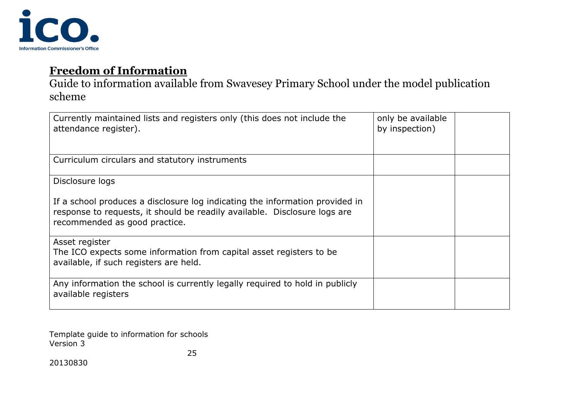

Guide to information available from Swavesey Primary School under the model publication scheme

| Currently maintained lists and registers only (this does not include the<br>attendance register).                                                                                          | only be available<br>by inspection) |  |
|--------------------------------------------------------------------------------------------------------------------------------------------------------------------------------------------|-------------------------------------|--|
| Curriculum circulars and statutory instruments                                                                                                                                             |                                     |  |
| Disclosure logs                                                                                                                                                                            |                                     |  |
| If a school produces a disclosure log indicating the information provided in<br>response to requests, it should be readily available. Disclosure logs are<br>recommended as good practice. |                                     |  |
| Asset register<br>The ICO expects some information from capital asset registers to be<br>available, if such registers are held.                                                            |                                     |  |
| Any information the school is currently legally required to hold in publicly<br>available registers                                                                                        |                                     |  |

Template guide to information for schools Version 3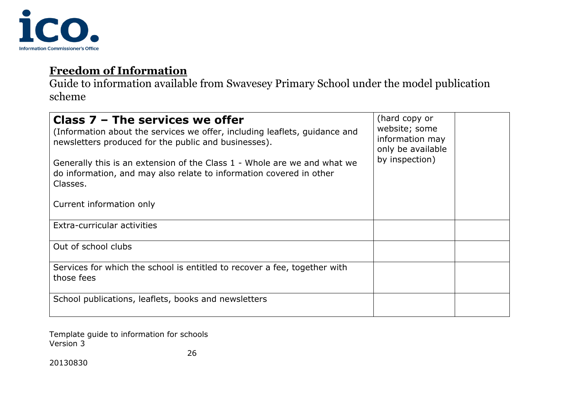

Guide to information available from Swavesey Primary School under the model publication scheme

| Class $7$ – The services we offer<br>(Information about the services we offer, including leaflets, guidance and<br>newsletters produced for the public and businesses).<br>Generally this is an extension of the Class 1 - Whole are we and what we<br>do information, and may also relate to information covered in other<br>Classes.<br>Current information only | (hard copy or<br>website; some<br>information may<br>only be available<br>by inspection) |  |
|--------------------------------------------------------------------------------------------------------------------------------------------------------------------------------------------------------------------------------------------------------------------------------------------------------------------------------------------------------------------|------------------------------------------------------------------------------------------|--|
| Extra-curricular activities                                                                                                                                                                                                                                                                                                                                        |                                                                                          |  |
|                                                                                                                                                                                                                                                                                                                                                                    |                                                                                          |  |
| Out of school clubs                                                                                                                                                                                                                                                                                                                                                |                                                                                          |  |
| Services for which the school is entitled to recover a fee, together with<br>those fees                                                                                                                                                                                                                                                                            |                                                                                          |  |
| School publications, leaflets, books and newsletters                                                                                                                                                                                                                                                                                                               |                                                                                          |  |

Template guide to information for schools Version 3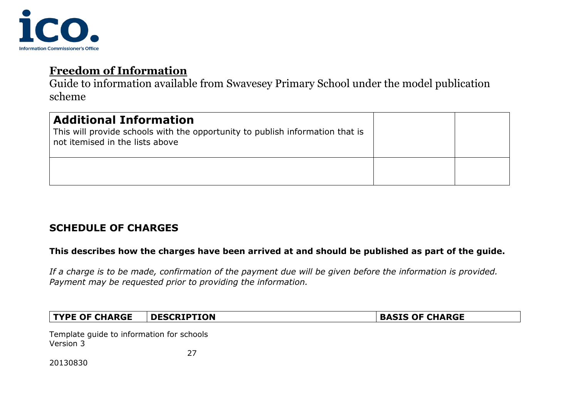

Guide to information available from Swavesey Primary School under the model publication scheme

| <b>Additional Information</b><br>This will provide schools with the opportunity to publish information that is<br>not itemised in the lists above |  |
|---------------------------------------------------------------------------------------------------------------------------------------------------|--|
|                                                                                                                                                   |  |

#### **SCHEDULE OF CHARGES**

#### **This describes how the charges have been arrived at and should be published as part of the guide.**

*If a charge is to be made, confirmation of the payment due will be given before the information is provided. Payment may be requested prior to providing the information.*

| <b>TYPE OF CHARGE</b>                     | <b>DESCRIPTION</b> | <b>BASIS OF CHARGE</b> |
|-------------------------------------------|--------------------|------------------------|
| Template guide to information for schools |                    |                        |

Template guide to information for schools Version 3

27